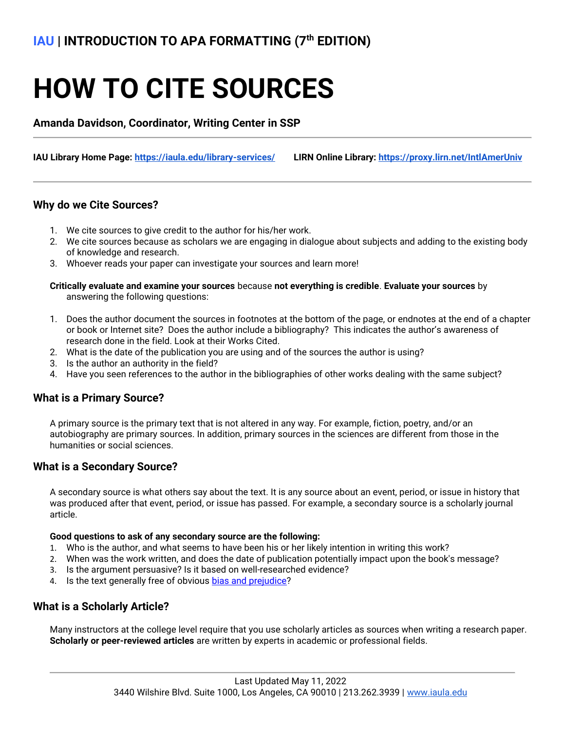# **HOW TO CITE SOURCES**

**Amanda Davidson, Coordinator, Writing Center in SSP**

**IAU Library Home Page:<https://iaula.edu/library-services/>LIRN Online Library:<https://proxy.lirn.net/IntlAmerUniv>**

## **Why do we Cite Sources?**

- 1. We cite sources to give credit to the author for his/her work.
- 2. We cite sources because as scholars we are engaging in dialogue about subjects and adding to the existing body of knowledge and research.
- 3. Whoever reads your paper can investigate your sources and learn more!

#### **Critically evaluate and examine your sources** because **not everything is credible**. **Evaluate your sources** by answering the following questions:

- 1. Does the author document the sources in footnotes at the bottom of the page, or endnotes at the end of a chapter or book or Internet site? Does the author include a bibliography? This indicates the author's awareness of research done in the field. Look at their Works Cited.
- 2. What is the date of the publication you are using and of the sources the author is using?
- 3. Is the author an authority in the field?
- 4. Have you seen references to the author in the bibliographies of other works dealing with the same subject?

## **What is a Primary Source?**

A primary source is the primary text that is not altered in any way. For example, fiction, poetry, and/or an autobiography are primary sources. In addition, primary sources in the sciences are different from those in the humanities or social sciences.

## **What is a Secondary Source?**

A secondary source is what others say about the text. It is any source about an event, period, or issue in history that was produced after that event, period, or issue has passed. For example, a secondary source is a scholarly journal article.

#### **Good questions to ask of any secondary source are the following:**

- 1. Who is the author, and what seems to have been his or her likely intention in writing this work?
- 2. When was the work written, and does the date of publication potentially impact upon the book's message?
- 3. Is the argument persuasive? Is it based on well-researched evidence?
- 4. Is the text generally free of obvious [bias and prejudice?](http://qcpages.qc.cuny.edu/writing/history/critical/bias.html)

## **What is a Scholarly Article?**

Many instructors at the college level require that you use scholarly articles as sources when writing a research paper. **Scholarly or peer-reviewed articles** are written by experts in academic or professional fields.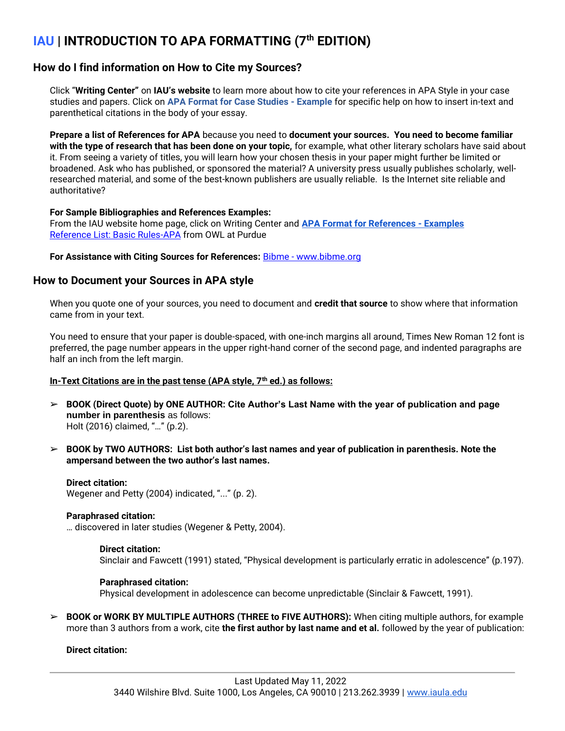# **How do I find information on How to Cite my Sources?**

Click "**Writing Center"** on **IAU's website** to learn more about how to cite your references in APA Style in your case studies and papers. Click on **[APA Format for Case Studies -](http://iau.la/wp-content/uploads/APA_Format_Sample_for_Case_Studies.docx) Example** for specific help on how to insert in-text and parenthetical citations in the body of your essay.

**Prepare a list of References for APA** because you need to **document your sources. You need to become familiar with the type of research that has been done on your topic,** for example, what other literary scholars have said about it. From seeing a variety of titles, you will learn how your chosen thesis in your paper might further be limited or broadened. Ask who has published, or sponsored the material? A university press usually publishes scholarly, wellresearched material, and some of the best-known publishers are usually reliable. Is the Internet site reliable and authoritative?

### **For Sample Bibliographies and References Examples:**

From the IAU website home page, click on Writing Center and **[APA Format for References -](http://iau.la/wp-content/uploads/APA_Format_Sample_for_References.docx) Examples**  [Reference List: Basic Rules-APA](http://owl.english.purdue.edu/owl/resource/560/05/) from OWL at Purdue

### **For Assistance with Citing Sources for References:** Bibme - www.bibme.org

# **How to Document your Sources in APA style**

When you quote one of your sources, you need to document and **credit that source** to show where that information came from in your text.

You need to ensure that your paper is double-spaced, with one-inch margins all around, Times New Roman 12 font is preferred, the page number appears in the upper right-hand corner of the second page, and indented paragraphs are half an inch from the left margin.

## **In-Text Citations are in the past tense (APA style, 7th ed.) as follows:**

- ➢ **BOOK (Direct Quote) by ONE AUTHOR: Cite Author's Last Name with the year of publication and page number in parenthesis** as follows: Holt (2016) claimed, "…" (p.2).
- ➢ **BOOK by TWO AUTHORS: List both author's last names and year of publication in parenthesis. Note the ampersand between the two author's last names.**

### **Direct citation:**

Wegener and Petty (2004) indicated, "..." (p. 2).

### **Paraphrased citation:**

… discovered in later studies (Wegener & Petty, 2004).

### **Direct citation:**

Sinclair and Fawcett (1991) stated, "Physical development is particularly erratic in adolescence" (p.197).

### **Paraphrased citation:**

Physical development in adolescence can become unpredictable (Sinclair & Fawcett, 1991).

➢ **BOOK or WORK BY MULTIPLE AUTHORS (THREE to FIVE AUTHORS):** When citing multiple authors, for example more than 3 authors from a work, cite **the first author by last name and et al.** followed by the year of publication:

### **Direct citation:**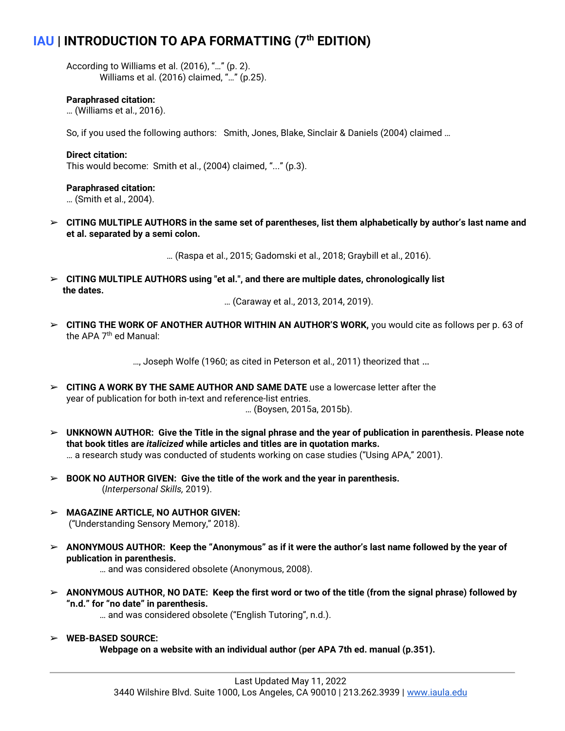According to Williams et al. (2016), "…" (p. 2). Williams et al. (2016) claimed, "…" (p.25).

### **Paraphrased citation:**

… (Williams et al., 2016).

So, if you used the following authors: Smith, Jones, Blake, Sinclair & Daniels (2004) claimed …

#### **Direct citation:**

This would become: Smith et al., (2004) claimed, "..." (p.3).

#### **Paraphrased citation:**

… (Smith et al., 2004).

➢ **CITING MULTIPLE AUTHORS in the same set of parentheses, list them alphabetically by author's last name and et al. separated by a semi colon.**

… (Raspa et al., 2015; Gadomski et al., 2018; Graybill et al., 2016).

➢ **CITING MULTIPLE AUTHORS using "et al.", and there are multiple dates, chronologically list the dates.**

… (Caraway et al., 2013, 2014, 2019).

➢ **CITING THE WORK OF ANOTHER AUTHOR WITHIN AN AUTHOR'S WORK,** you would cite as follows per p. 63 of the APA 7<sup>th</sup> ed Manual:

…, Joseph Wolfe (1960; as cited in Peterson et al., 2011) theorized that …

➢ **CITING A WORK BY THE SAME AUTHOR AND SAME DATE** use a lowercase letter after the year of publication for both in-text and reference-list entries.

… (Boysen, 2015a, 2015b).

- ➢ **UNKNOWN AUTHOR: Give the Title in the signal phrase and the year of publication in parenthesis. Please note that book titles are** *italicized* **while articles and titles are in quotation marks.** … a research study was conducted of students working on case studies ("Using APA," 2001).
- ➢ **BOOK NO AUTHOR GIVEN: Give the title of the work and the year in parenthesis.** (*Interpersonal Skills,* 2019).
- ➢ **MAGAZINE ARTICLE, NO AUTHOR GIVEN:** ("Understanding Sensory Memory," 2018).
- ➢ **ANONYMOUS AUTHOR: Keep the "Anonymous" as if it were the author's last name followed by the year of publication in parenthesis.**

… and was considered obsolete (Anonymous, 2008).

➢ **ANONYMOUS AUTHOR, NO DATE: Keep the first word or two of the title (from the signal phrase) followed by "n.d." for "no date" in parenthesis.**

… and was considered obsolete ("English Tutoring", n.d.).

➢ **WEB-BASED SOURCE: Webpage on a website with an individual author (per APA 7th ed. manual (p.351).**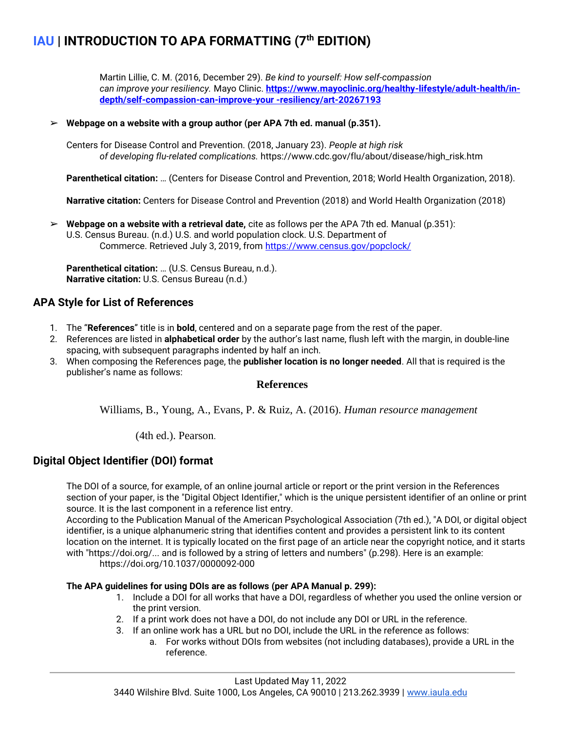Martin Lillie, C. M. (2016, December 29). *Be kind to yourself: How self-compassion can improve your resiliency.* Mayo Clinic. **[https://www.mayoclinic.org/healthy-lifestyle/adult-health/in](https://www.mayoclinic.org/healthy-lifestyle/adult-health/in-depth/self-compassion-can-improve-your%20-resiliency/art-20267193)[depth/self-compassion-can-improve-your -resiliency/art-20267193](https://www.mayoclinic.org/healthy-lifestyle/adult-health/in-depth/self-compassion-can-improve-your%20-resiliency/art-20267193)**

### ➢ **Webpage on a website with a group author (per APA 7th ed. manual (p.351).**

Centers for Disease Control and Prevention. (2018, January 23). *People at high risk of developing flu-related complications.* https://www.cdc.gov/flu/about/disease/high\_risk.htm

**Parenthetical citation:** … (Centers for Disease Control and Prevention, 2018; World Health Organization, 2018).

**Narrative citation:** Centers for Disease Control and Prevention (2018) and World Health Organization (2018)

➢ **Webpage on a website with a retrieval date,** cite as follows per the APA 7th ed. Manual (p.351): U.S. Census Bureau. (n.d.) U.S. and world population clock. U.S. Department of Commerce. Retrieved July 3, 2019, from<https://www.census.gov/popclock/>

**Parenthetical citation:** … (U.S. Census Bureau, n.d.). **Narrative citation:** U.S. Census Bureau (n.d.)

# **APA Style for List of References**

- 1. The "**References**" title is in **bold**, centered and on a separate page from the rest of the paper.
- 2. References are listed in **alphabetical order** by the author's last name, flush left with the margin, in double-line spacing, with subsequent paragraphs indented by half an inch.
- 3. When composing the References page, the **publisher location is no longer needed**. All that is required is the publisher's name as follows:

### **References**

Williams, B., Young, A., Evans, P. & Ruiz, A. (2016). *Human resource management*

(4th ed.). Pearson.

# **Digital Object Identifier (DOI) format**

The DOI of a source, for example, of an online journal article or report or the print version in the References section of your paper, is the "Digital Object Identifier," which is the unique persistent identifier of an online or print source. It is the last component in a reference list entry.

According to the Publication Manual of the American Psychological Association (7th ed.), "A DOI, or digital object identifier, is a unique alphanumeric string that identifies content and provides a persistent link to its content location on the internet. It is typically located on the first page of an article near the copyright notice, and it starts with "https://doi.org/... and is followed by a string of letters and numbers" (p.298). Here is an example: https://doi.org/10.1037/0000092-000

### **The APA guidelines for using DOIs are as follows (per APA Manual p. 299):**

- 1. Include a DOI for all works that have a DOI, regardless of whether you used the online version or the print version.
- 2. If a print work does not have a DOI, do not include any DOI or URL in the reference.
- 3. If an online work has a URL but no DOI, include the URL in the reference as follows:
	- a. For works without DOIs from websites (not including databases), provide a URL in the reference.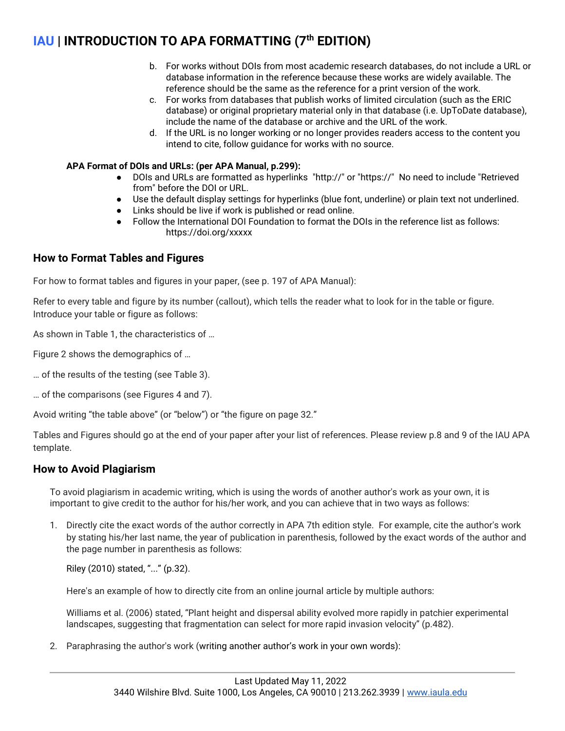- b. For works without DOIs from most academic research databases, do not include a URL or database information in the reference because these works are widely available. The reference should be the same as the reference for a print version of the work.
- c. For works from databases that publish works of limited circulation (such as the ERIC database) or original proprietary material only in that database (i.e. UpToDate database), include the name of the database or archive and the URL of the work.
- d. If the URL is no longer working or no longer provides readers access to the content you intend to cite, follow guidance for works with no source.

## **APA Format of DOIs and URLs: (per APA Manual, p.299):**

- DOIs and URLs are formatted as hyperlinks "http://" or "https://" No need to include "Retrieved from" before the DOI or URL.
- Use the default display settings for hyperlinks (blue font, underline) or plain text not underlined.
- Links should be live if work is published or read online.
- Follow the International DOI Foundation to format the DOIs in the reference list as follows: https://doi.org/xxxxx

# **How to Format Tables and Figures**

For how to format tables and figures in your paper, (see p. 197 of APA Manual):

Refer to every table and figure by its number (callout), which tells the reader what to look for in the table or figure. Introduce your table or figure as follows:

As shown in Table 1, the characteristics of …

Figure 2 shows the demographics of …

… of the results of the testing (see Table 3).

… of the comparisons (see Figures 4 and 7).

Avoid writing "the table above" (or "below") or "the figure on page 32."

Tables and Figures should go at the end of your paper after your list of references. Please review p.8 and 9 of the IAU APA template.

# **How to Avoid Plagiarism**

To avoid plagiarism in academic writing, which is using the words of another author's work as your own, it is important to give credit to the author for his/her work, and you can achieve that in two ways as follows:

1. Directly cite the exact words of the author correctly in APA 7th edition style. For example, cite the author's work by stating his/her last name, the year of publication in parenthesis, followed by the exact words of the author and the page number in parenthesis as follows:

Riley (2010) stated, "..." (p.32).

Here's an example of how to directly cite from an online journal article by multiple authors:

Williams et al. (2006) stated, "Plant height and dispersal ability evolved more rapidly in patchier experimental landscapes, suggesting that fragmentation can select for more rapid invasion velocity" (p.482).

2. Paraphrasing the author's work (writing another author's work in your own words):